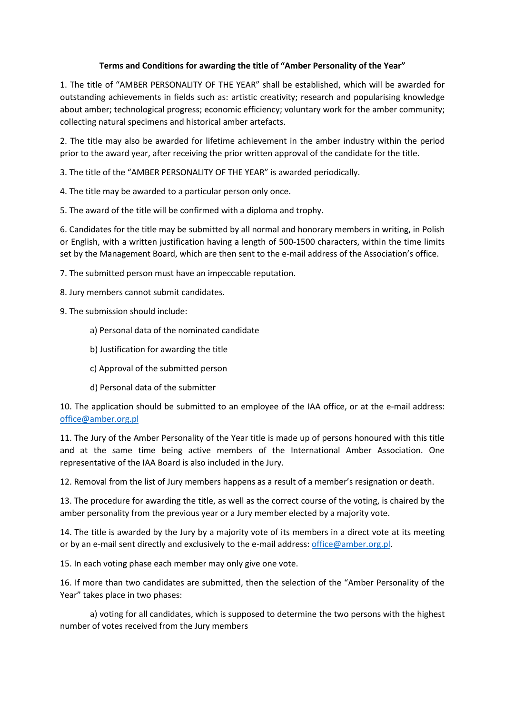## **Terms and Conditions for awarding the title of "Amber Personality of the Year"**

1. The title of "AMBER PERSONALITY OF THE YEAR" shall be established, which will be awarded for outstanding achievements in fields such as: artistic creativity; research and popularising knowledge about amber; technological progress; economic efficiency; voluntary work for the amber community; collecting natural specimens and historical amber artefacts.

2. The title may also be awarded for lifetime achievement in the amber industry within the period prior to the award year, after receiving the prior written approval of the candidate for the title.

3. The title of the "AMBER PERSONALITY OF THE YEAR" is awarded periodically.

4. The title may be awarded to a particular person only once.

5. The award of the title will be confirmed with a diploma and trophy.

6. Candidates for the title may be submitted by all normal and honorary members in writing, in Polish or English, with a written justification having a length of 500-1500 characters, within the time limits set by the Management Board, which are then sent to the e-mail address of the Association's office.

7. The submitted person must have an impeccable reputation.

8. Jury members cannot submit candidates.

- 9. The submission should include:
	- a) Personal data of the nominated candidate
	- b) Justification for awarding the title
	- c) Approval of the submitted person
	- d) Personal data of the submitter

10. The application should be submitted to an employee of the IAA office, or at the e-mail address: [office@amber.org.pl](mailto:office@amber.org.pl)

11. The Jury of the Amber Personality of the Year title is made up of persons honoured with this title and at the same time being active members of the International Amber Association. One representative of the IAA Board is also included in the Jury.

12. Removal from the list of Jury members happens as a result of a member's resignation or death.

13. The procedure for awarding the title, as well as the correct course of the voting, is chaired by the amber personality from the previous year or a Jury member elected by a majority vote.

14. The title is awarded by the Jury by a majority vote of its members in a direct vote at its meeting or by an e-mail sent directly and exclusively to the e-mail address[: office@amber.org.pl.](mailto:office@amber.org.pl)

15. In each voting phase each member may only give one vote.

16. If more than two candidates are submitted, then the selection of the "Amber Personality of the Year" takes place in two phases:

a) voting for all candidates, which is supposed to determine the two persons with the highest number of votes received from the Jury members